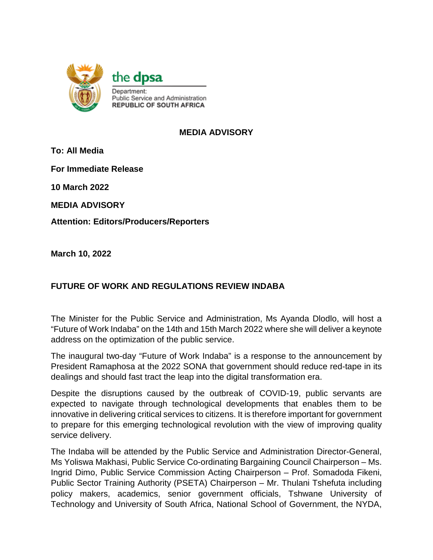

## **MEDIA ADVISORY**

**To: All Media**

**For Immediate Release**

**10 March 2022**

**MEDIA ADVISORY** 

**Attention: Editors/Producers/Reporters**

**March 10, 2022**

# **FUTURE OF WORK AND REGULATIONS REVIEW INDABA**

The Minister for the Public Service and Administration, Ms Ayanda Dlodlo, will host a "Future of Work Indaba" on the 14th and 15th March 2022 where she will deliver a keynote address on the optimization of the public service.

The inaugural two-day "Future of Work Indaba" is a response to the announcement by President Ramaphosa at the 2022 SONA that government should reduce red-tape in its dealings and should fast tract the leap into the digital transformation era.

Despite the disruptions caused by the outbreak of COVID-19, public servants are expected to navigate through technological developments that enables them to be innovative in delivering critical services to citizens. It is therefore important for government to prepare for this emerging technological revolution with the view of improving quality service delivery.

The Indaba will be attended by the Public Service and Administration Director-General, Ms Yoliswa Makhasi, Public Service Co-ordinating Bargaining Council Chairperson – Ms. Ingrid Dimo, Public Service Commission Acting Chairperson – Prof. Somadoda Fikeni, Public Sector Training Authority (PSETA) Chairperson – Mr. Thulani Tshefuta including policy makers, academics, senior government officials, Tshwane University of Technology and University of South Africa, National School of Government, the NYDA,